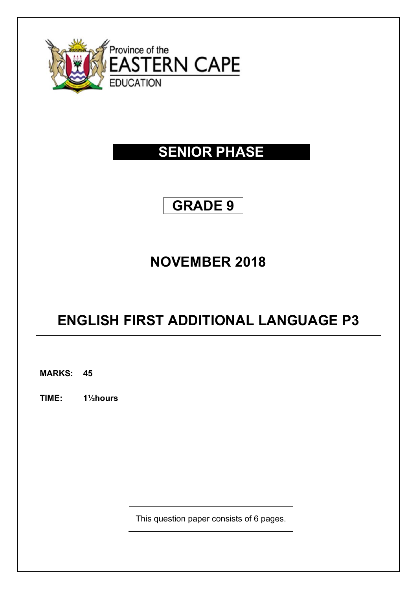

# **SENIOR PHASE**

## **GRADE 9**

# **NOVEMBER 2018**

# **ENGLISH FIRST ADDITIONAL LANGUAGE P3**

**MARKS: 45**

**TIME: 1½hours** 

This question paper consists of 6 pages.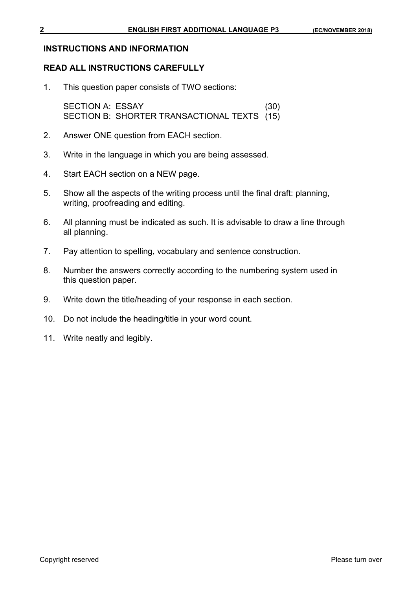## **INSTRUCTIONS AND INFORMATION**

## **READ ALL INSTRUCTIONS CAREFULLY**

1. This question paper consists of TWO sections:

SECTION A: ESSAY (30) SECTION B: SHORTER TRANSACTIONAL TEXTS (15)

- 2. Answer ONE question from EACH section.
- 3. Write in the language in which you are being assessed.
- 4. Start EACH section on a NEW page.
- 5. Show all the aspects of the writing process until the final draft: planning, writing, proofreading and editing.
- 6. All planning must be indicated as such. It is advisable to draw a line through all planning.
- 7. Pay attention to spelling, vocabulary and sentence construction.
- 8. Number the answers correctly according to the numbering system used in this question paper.
- 9. Write down the title/heading of your response in each section.
- 10. Do not include the heading/title in your word count.
- 11. Write neatly and legibly.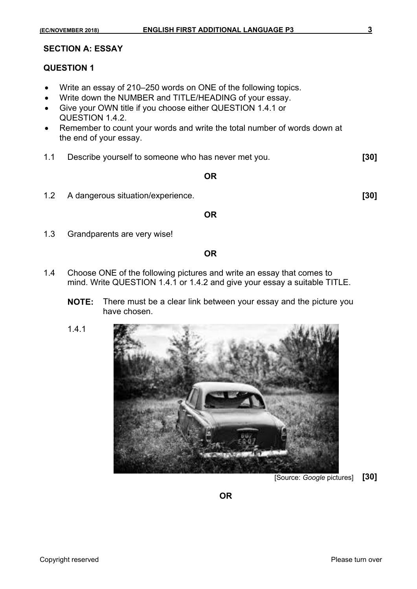#### **SECTION A: ESSAY**

### **QUESTION 1**

- Write an essay of 210–250 words on ONE of the following topics.
- Write down the NUMBER and TITLE/HEADING of your essay.
- Give your OWN title if you choose either QUESTION 1.4.1 or QUESTION 1.4.2.
- Remember to count your words and write the total number of words down at the end of your essay.
- 1.1 Describe yourself to someone who has never met you. **[30]**

#### **OR**

1.2 A dangerous situation/experience. **[30]** 

#### **OR**

1.3 Grandparents are very wise!

#### **OR**

- 1.4 Choose ONE of the following pictures and write an essay that comes to mind. Write QUESTION 1.4.1 or 1.4.2 and give your essay a suitable TITLE.
	- **NOTE:** There must be a clear link between your essay and the picture you have chosen.
	- 1.4.1



[Source: *Google* pictures] **[30]** 

**OR OR**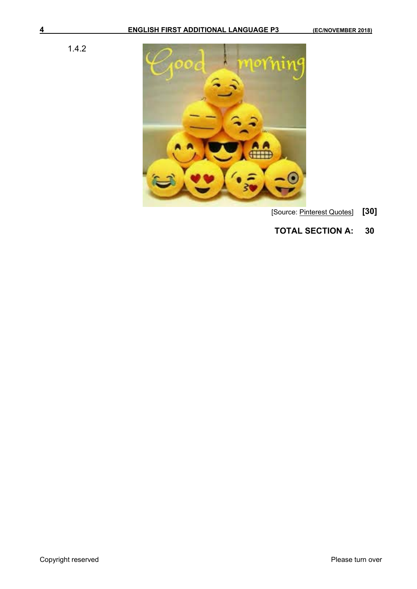1.4.2



- [Source: Pinterest Quotes] **[30]**
- **TOTAL SECTION A: 30**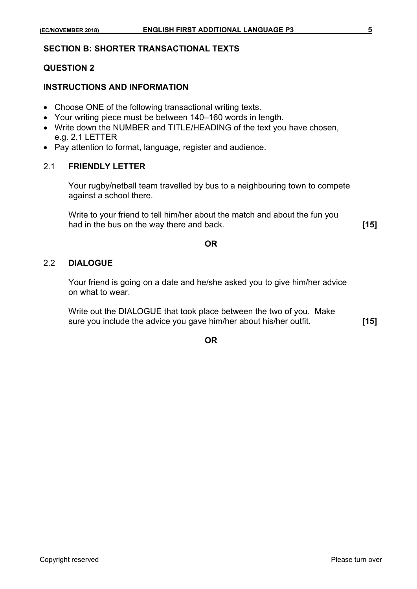## **SECTION B: SHORTER TRANSACTIONAL TEXTS**

## **QUESTION 2**

## **INSTRUCTIONS AND INFORMATION**

- Choose ONE of the following transactional writing texts.
- Your writing piece must be between 140–160 words in length.
- Write down the NUMBER and TITLE/HEADING of the text you have chosen, e.g. 2.1 LETTER
- Pay attention to format, language, register and audience.

## 2.1 **FRIENDLY LETTER**

 Your rugby/netball team travelled by bus to a neighbouring town to compete against a school there.

Write to your friend to tell him/her about the match and about the fun you had in the bus on the way there and back. **[15]** 

### **OR**

## 2.2 **DIALOGUE**

 Your friend is going on a date and he/she asked you to give him/her advice on what to wear.

Write out the DIALOGUE that took place between the two of you. Make sure you include the advice you gave him/her about his/her outfit. **[15]** 

**OR**